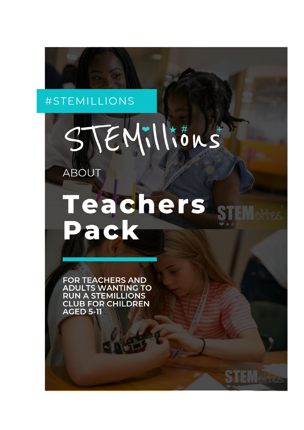## #STEMILLIONS



ABOUT

## Teachers Pack

SIL VI effes

**FOR TEACHERS AND ADULTS WANTING TO RUN A STEMILLIONS CLUB FOR CHILDREN AGED 5-11**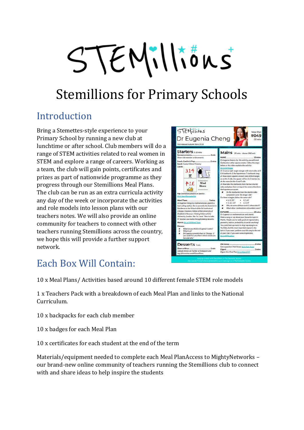# STEMillions

## Stemillions for Primary Schools

## Introduction

Bring a Stemettes-style experience to your Primary School by running a new club at lunchtime or after school. Club members will do a range of STEM activities related to real women in STEM and explore a range of careers. Working as a team, the club will gain points, certificates and prizes as part of nationwide programme as they progress through our Stemillions Meal Plans. The club can be run as an extra curricula activity any day of the week or incorporate the activities and role models into lesson plans with our teachers notes. We will also provide an online community for teachers to connect with other teachers running Stemillions across the country, we hope this will provide a further support network.



## Each Box Will Contain:

10 x Meal Plans/ Activities based around 10 different female STEM role models

1 x Teachers Pack with a breakdown of each Meal Plan and links to the National Curriculum.

10 x backpacks for each club member

- 10 x badges for each Meal Plan
- 10 x certificates for each student at the end of the term

Materials/equipment needed to complete each Meal PlanAccess to MightyNetworks – our brand-new online community of teachers running the Stemillions club to connect with and share ideas to help inspire the students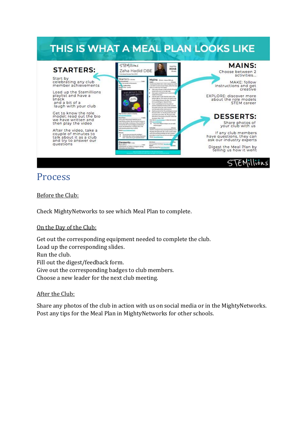## THIS IS WHAT A MEAL PLAN LOOKS LIKE



### Process

Before the Club:

Check MightyNetworks to see which Meal Plan to complete.

On the Day of the Club:

Get out the corresponding equipment needed to complete the club. Load up the corresponding slides. Run the club. Fill out the digest/feedback form. Give out the corresponding badges to club members. Choose a new leader for the next club meeting.

#### After the Club:

Share any photos of the club in action with us on social media or in the MightyNetworks. Post any tips for the Meal Plan in MightyNetworks for other schools.